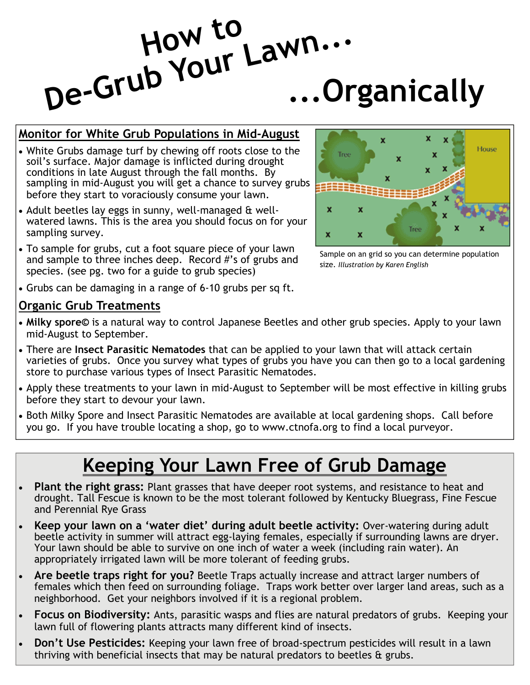# **...Organically How to De-Grub Your Lawn...**

#### **Monitor for White Grub Populations in Mid-August**

- White Grubs damage turf by chewing off roots close to the soil's surface. Major damage is inflicted during drought conditions in late August through the fall months. By sampling in mid-August you will get a chance to survey grubs before they start to voraciously consume your lawn.
- Adult beetles lay eggs in sunny, well-managed & wellwatered lawns. This is the area you should focus on for your sampling survey.
- To sample for grubs, cut a foot square piece of your lawn and sample to three inches deep. Record #'s of grubs and species. (see pg. two for a guide to grub species)



Sample on an grid so you can determine population size. *Illustration by Karen English*

• Grubs can be damaging in a range of 6-10 grubs per sq ft.

#### **Organic Grub Treatments**

- **Milky spore©** is a natural way to control Japanese Beetles and other grub species. Apply to your lawn mid-August to September.
- There are **Insect Parasitic Nematodes** that can be applied to your lawn that will attack certain varieties of grubs. Once you survey what types of grubs you have you can then go to a local gardening store to purchase various types of Insect Parasitic Nematodes.
- Apply these treatments to your lawn in mid-August to September will be most effective in killing grubs before they start to devour your lawn.
- Both Milky Spore and Insect Parasitic Nematodes are available at local gardening shops. Call before you go. If you have trouble locating a shop, go to www.ctnofa.org to find a local purveyor.

## **Keeping Your Lawn Free of Grub Damage**

- **Plant the right grass:** Plant grasses that have deeper root systems, and resistance to heat and drought. Tall Fescue is known to be the most tolerant followed by Kentucky Bluegrass, Fine Fescue and Perennial Rye Grass
- **Keep your lawn on a 'water diet' during adult beetle activity:** Over-watering during adult beetle activity in summer will attract egg-laying females, especially if surrounding lawns are dryer. Your lawn should be able to survive on one inch of water a week (including rain water). An appropriately irrigated lawn will be more tolerant of feeding grubs.
- **Are beetle traps right for you?** Beetle Traps actually increase and attract larger numbers of females which then feed on surrounding foliage. Traps work better over larger land areas, such as a neighborhood. Get your neighbors involved if it is a regional problem.
- **Focus on Biodiversity:** Ants, parasitic wasps and flies are natural predators of grubs. Keeping your lawn full of flowering plants attracts many different kind of insects.
- **Don't Use Pesticides:** Keeping your lawn free of broad-spectrum pesticides will result in a lawn thriving with beneficial insects that may be natural predators to beetles & grubs.